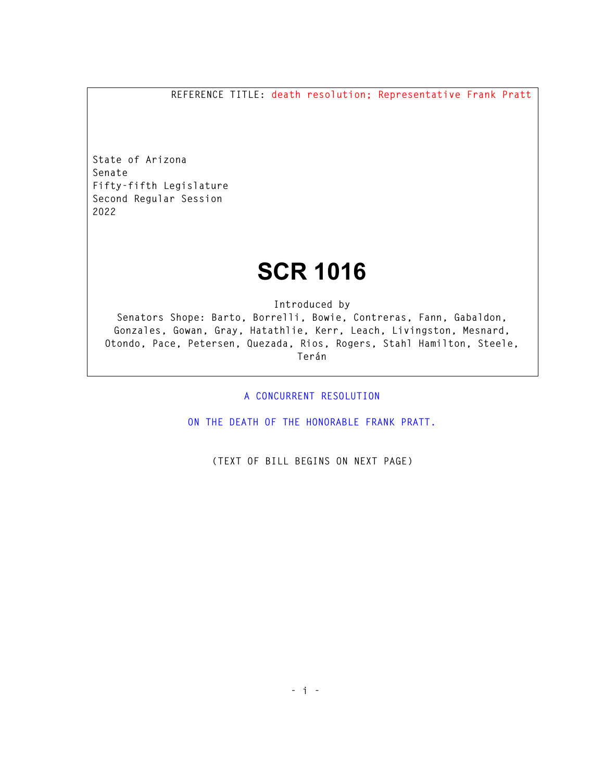**REFERENCE TITLE: death resolution; Representative Frank Pratt** 

**State of Arizona Senate Fifty-fifth Legislature Second Regular Session 2022** 

## **SCR 1016**

**Introduced by** 

**Senators Shope: Barto, Borrelli, Bowie, Contreras, Fann, Gabaldon, Gonzales, Gowan, Gray, Hatathlie, Kerr, Leach, Livingston, Mesnard, Otondo, Pace, Petersen, Quezada, Rios, Rogers, Stahl Hamilton, Steele, Terán** 

**A CONCURRENT RESOLUTION** 

**ON THE DEATH OF THE HONORABLE FRANK PRATT.** 

**(TEXT OF BILL BEGINS ON NEXT PAGE)**